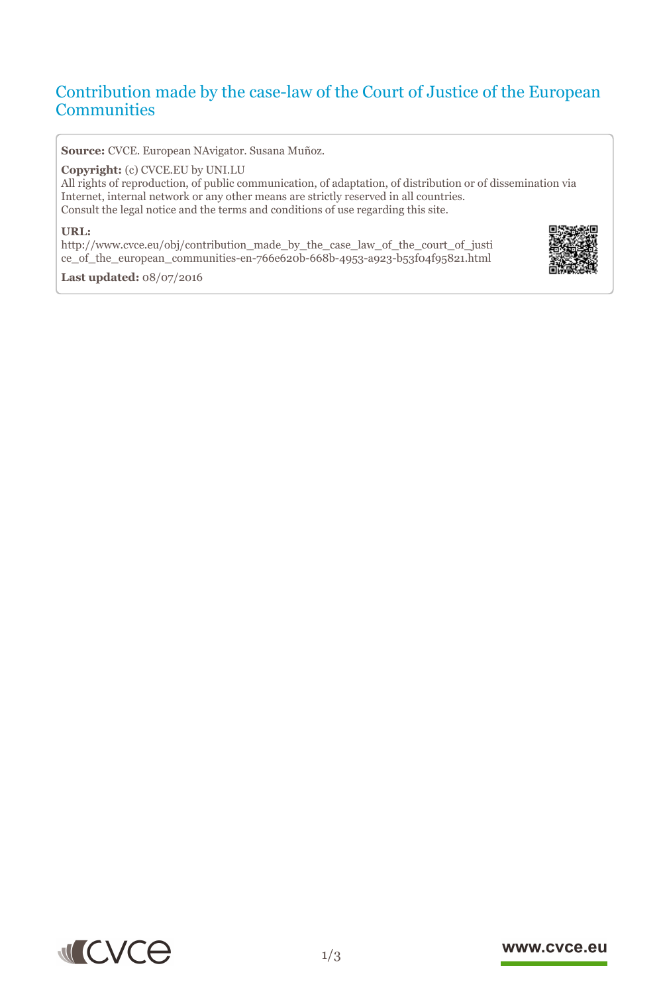# Contribution made by the case-law of the Court of Justice of the European **Communities**

**Source:** CVCE. European NAvigator. Susana Muñoz.

#### **Copyright:** (c) CVCE.EU by UNI.LU

All rights of reproduction, of public communication, of adaptation, of distribution or of dissemination via Internet, internal network or any other means are strictly reserved in all countries. Consult the legal notice and the terms and conditions of use regarding this site.

#### **URL:**

http://www.cvce.eu/obj/contribution\_made\_by\_the\_case\_law\_of\_the\_court\_of\_justi ce\_[of\\_the\\_european\\_communities-en-766e620b-668b-4953-a923-b53f04f95821.html](http://www.cvce.eu/obj/contribution_made_by_the_case_law_of_the_court_of_justice_of_the_european_communities-en-766e620b-668b-4953-a923-b53f04f95821.html)



**Las[t updated:](http://www.cvce.eu/obj/contribution_made_by_the_case_law_of_the_court_of_justice_of_the_european_communities-en-766e620b-668b-4953-a923-b53f04f95821.html)** 08/07/2016



#### www.cvce.eu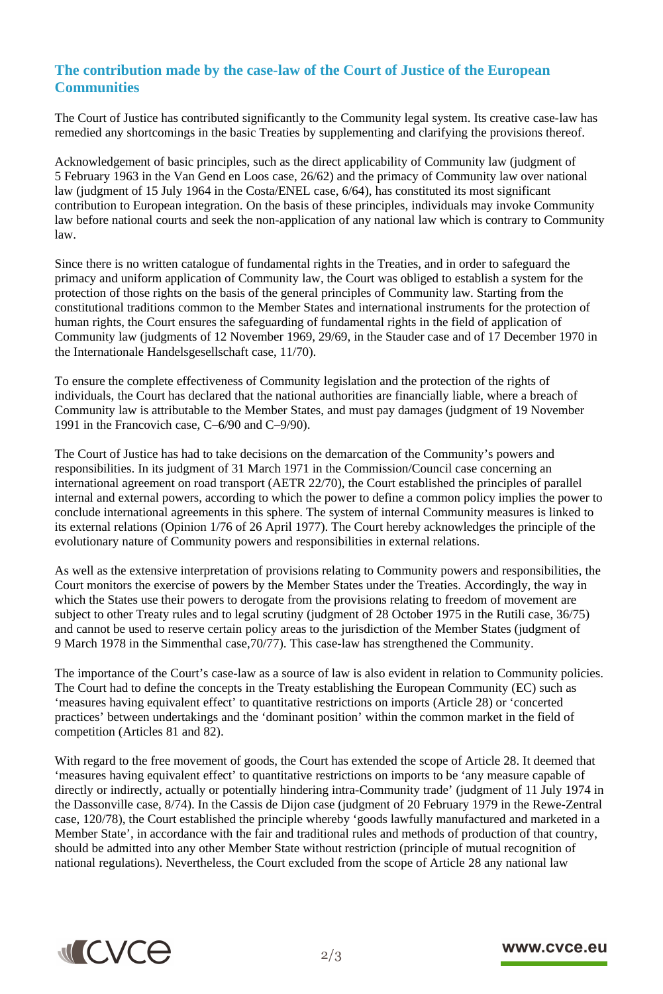# **The contribution made by the case-law of the Court of Justice of the European Communities**

The Court of Justice has contributed significantly to the Community legal system. Its creative case-law has remedied any shortcomings in the basic Treaties by supplementing and clarifying the provisions thereof.

Acknowledgement of basic principles, such as the direct applicability of Community law (judgment of 5 February 1963 in the Van Gend en Loos case, 26/62) and the primacy of Community law over national law (judgment of 15 July 1964 in the Costa/ENEL case, 6/64), has constituted its most significant contribution to European integration. On the basis of these principles, individuals may invoke Community law before national courts and seek the non-application of any national law which is contrary to Community law.

Since there is no written catalogue of fundamental rights in the Treaties, and in order to safeguard the primacy and uniform application of Community law, the Court was obliged to establish a system for the protection of those rights on the basis of the general principles of Community law. Starting from the constitutional traditions common to the Member States and international instruments for the protection of human rights, the Court ensures the safeguarding of fundamental rights in the field of application of Community law (judgments of 12 November 1969, 29/69, in the Stauder case and of 17 December 1970 in the Internationale Handelsgesellschaft case, 11/70).

To ensure the complete effectiveness of Community legislation and the protection of the rights of individuals, the Court has declared that the national authorities are financially liable, where a breach of Community law is attributable to the Member States, and must pay damages (judgment of 19 November 1991 in the Francovich case, C–6/90 and C–9/90).

The Court of Justice has had to take decisions on the demarcation of the Community's powers and responsibilities. In its judgment of 31 March 1971 in the Commission/Council case concerning an international agreement on road transport (AETR 22/70), the Court established the principles of parallel internal and external powers, according to which the power to define a common policy implies the power to conclude international agreements in this sphere. The system of internal Community measures is linked to its external relations (Opinion 1/76 of 26 April 1977). The Court hereby acknowledges the principle of the evolutionary nature of Community powers and responsibilities in external relations.

As well as the extensive interpretation of provisions relating to Community powers and responsibilities, the Court monitors the exercise of powers by the Member States under the Treaties. Accordingly, the way in which the States use their powers to derogate from the provisions relating to freedom of movement are subject to other Treaty rules and to legal scrutiny (judgment of 28 October 1975 in the Rutili case, 36/75) and cannot be used to reserve certain policy areas to the jurisdiction of the Member States (judgment of 9 March 1978 in the Simmenthal case,70/77). This case-law has strengthened the Community.

The importance of the Court's case-law as a source of law is also evident in relation to Community policies. The Court had to define the concepts in the Treaty establishing the European Community (EC) such as 'measures having equivalent effect' to quantitative restrictions on imports (Article 28) or 'concerted practices' between undertakings and the 'dominant position' within the common market in the field of competition (Articles 81 and 82).

With regard to the free movement of goods, the Court has extended the scope of Article 28. It deemed that 'measures having equivalent effect' to quantitative restrictions on imports to be 'any measure capable of directly or indirectly, actually or potentially hindering intra-Community trade' (judgment of 11 July 1974 in the Dassonville case, 8/74). In the Cassis de Dijon case (judgment of 20 February 1979 in the Rewe-Zentral case, 120/78), the Court established the principle whereby 'goods lawfully manufactured and marketed in a Member State', in accordance with the fair and traditional rules and methods of production of that country, should be admitted into any other Member State without restriction (principle of mutual recognition of national regulations). Nevertheless, the Court excluded from the scope of Article 28 any national law



## www.cvce.eu